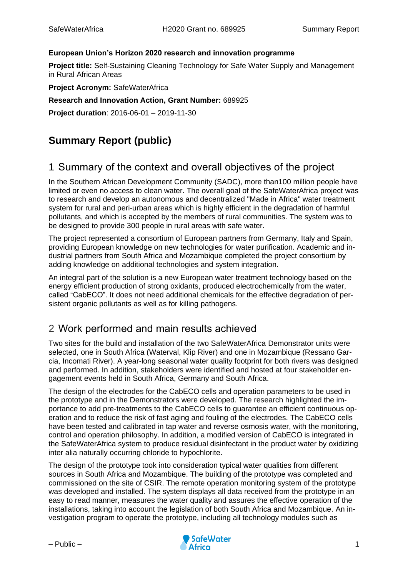#### **European Union's Horizon 2020 research and innovation programme**

**Project title:** Self-Sustaining Cleaning Technology for Safe Water Supply and Management in Rural African Areas

**Project Acronym:** SafeWaterAfrica

#### **Research and Innovation Action, Grant Number:** 689925

**Project duration**: 2016-06-01 – 2019-11-30

# **Summary Report (public)**

### 1 Summary of the context and overall objectives of the project

In the Southern African Development Community (SADC), more than100 million people have limited or even no access to clean water. The overall goal of the SafeWaterAfrica project was to research and develop an autonomous and decentralized "Made in Africa" water treatment system for rural and peri-urban areas which is highly efficient in the degradation of harmful pollutants, and which is accepted by the members of rural communities. The system was to be designed to provide 300 people in rural areas with safe water.

The project represented a consortium of European partners from Germany, Italy and Spain, providing European knowledge on new technologies for water purification. Academic and industrial partners from South Africa and Mozambique completed the project consortium by adding knowledge on additional technologies and system integration.

An integral part of the solution is a new European water treatment technology based on the energy efficient production of strong oxidants, produced electrochemically from the water, called "CabECO". It does not need additional chemicals for the effective degradation of persistent organic pollutants as well as for killing pathogens.

### 2 Work performed and main results achieved

Two sites for the build and installation of the two SafeWaterAfrica Demonstrator units were selected, one in South Africa (Waterval, Klip River) and one in Mozambique (Ressano Garcia, Incomati River). A year-long seasonal water quality footprint for both rivers was designed and performed. In addition, stakeholders were identified and hosted at four stakeholder engagement events held in South Africa, Germany and South Africa.

The design of the electrodes for the CabECO cells and operation parameters to be used in the prototype and in the Demonstrators were developed. The research highlighted the importance to add pre-treatments to the CabECO cells to guarantee an efficient continuous operation and to reduce the risk of fast aging and fouling of the electrodes. The CabECO cells have been tested and calibrated in tap water and reverse osmosis water, with the monitoring, control and operation philosophy. In addition, a modified version of CabECO is integrated in the SafeWaterAfrica system to produce residual disinfectant in the product water by oxidizing inter alia naturally occurring chloride to hypochlorite.

The design of the prototype took into consideration typical water qualities from different sources in South Africa and Mozambique. The building of the prototype was completed and commissioned on the site of CSIR. The remote operation monitoring system of the prototype was developed and installed. The system displays all data received from the prototype in an easy to read manner, measures the water quality and assures the effective operation of the installations, taking into account the legislation of both South Africa and Mozambique. An investigation program to operate the prototype, including all technology modules such as

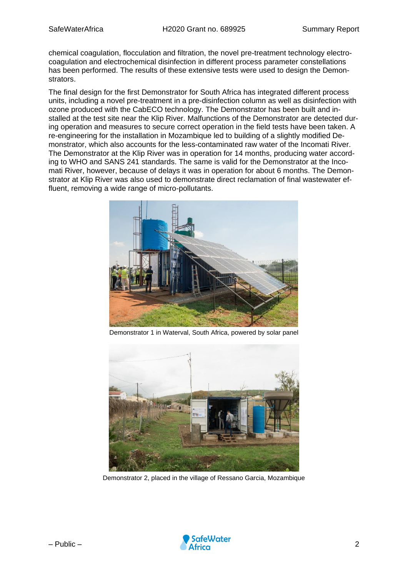chemical coagulation, flocculation and filtration, the novel pre-treatment technology electrocoagulation and electrochemical disinfection in different process parameter constellations has been performed. The results of these extensive tests were used to design the Demonstrators.

The final design for the first Demonstrator for South Africa has integrated different process units, including a novel pre-treatment in a pre-disinfection column as well as disinfection with ozone produced with the CabECO technology. The Demonstrator has been built and installed at the test site near the Klip River. Malfunctions of the Demonstrator are detected during operation and measures to secure correct operation in the field tests have been taken. A re-engineering for the installation in Mozambique led to building of a slightly modified Demonstrator, which also accounts for the less-contaminated raw water of the Incomati River. The Demonstrator at the Klip River was in operation for 14 months, producing water according to WHO and SANS 241 standards. The same is valid for the Demonstrator at the Incomati River, however, because of delays it was in operation for about 6 months. The Demonstrator at Klip River was also used to demonstrate direct reclamation of final wastewater effluent, removing a wide range of micro-pollutants.



Demonstrator 1 in Waterval, South Africa, powered by solar panel



Demonstrator 2, placed in the village of Ressano Garcia, Mozambique

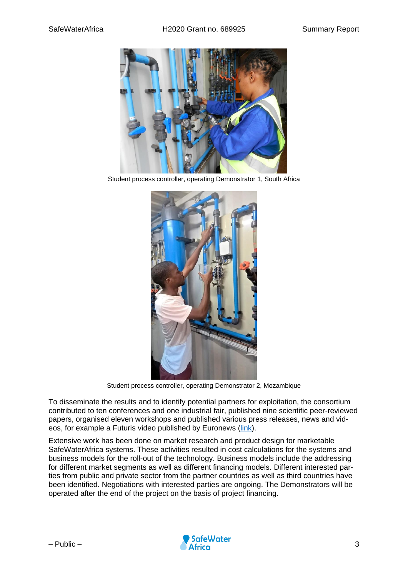

Student process controller, operating Demonstrator 1, South Africa



Student process controller, operating Demonstrator 2, Mozambique

To disseminate the results and to identify potential partners for exploitation, the consortium contributed to ten conferences and one industrial fair, published nine scientific peer-reviewed papers, organised eleven workshops and published various press releases, news and vid-eos, for example a Futuris video published by Euronews [\(link\)](https://safewaterafrica.eu/en/video/).

Extensive work has been done on market research and product design for marketable SafeWaterAfrica systems. These activities resulted in cost calculations for the systems and business models for the roll-out of the technology. Business models include the addressing for different market segments as well as different financing models. Different interested parties from public and private sector from the partner countries as well as third countries have been identified. Negotiations with interested parties are ongoing. The Demonstrators will be operated after the end of the project on the basis of project financing.